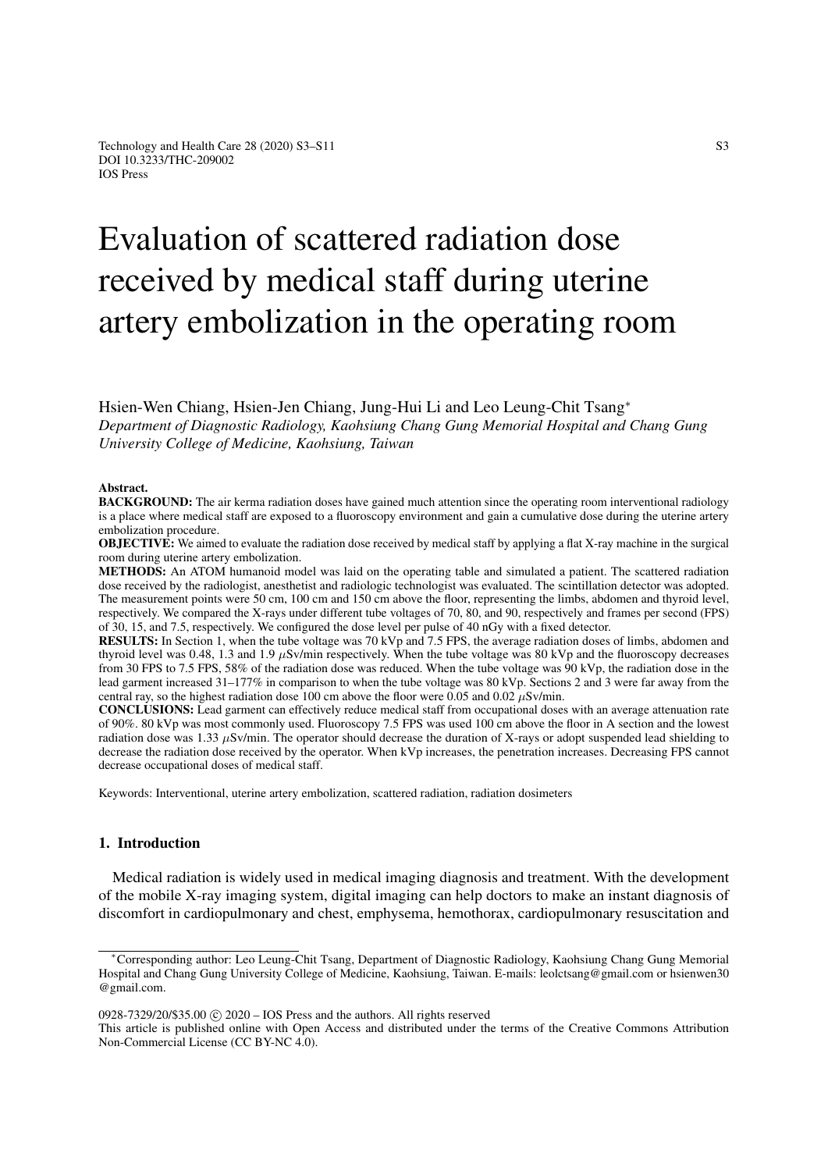# Evaluation of scattered radiation dose received by medical staff during uterine artery embolization in the operating room

## Hsien-Wen Chiang, Hsien-Jen Chiang, Jung-Hui Li and Leo Leung-Chit Tsang<sup>∗</sup> *Department of Diagnostic Radiology, Kaohsiung Chang Gung Memorial Hospital and Chang Gung University College of Medicine, Kaohsiung, Taiwan*

#### Abstract.

BACKGROUND: The air kerma radiation doses have gained much attention since the operating room interventional radiology is a place where medical staff are exposed to a fluoroscopy environment and gain a cumulative dose during the uterine artery embolization procedure.

**OBJECTIVE:** We aimed to evaluate the radiation dose received by medical staff by applying a flat X-ray machine in the surgical room during uterine artery embolization.

METHODS: An ATOM humanoid model was laid on the operating table and simulated a patient. The scattered radiation dose received by the radiologist, anesthetist and radiologic technologist was evaluated. The scintillation detector was adopted. The measurement points were 50 cm, 100 cm and 150 cm above the floor, representing the limbs, abdomen and thyroid level, respectively. We compared the X-rays under different tube voltages of 70, 80, and 90, respectively and frames per second (FPS) of 30, 15, and 7.5, respectively. We configured the dose level per pulse of 40 nGy with a fixed detector.

RESULTS: In Section 1, when the tube voltage was 70 kVp and 7.5 FPS, the average radiation doses of limbs, abdomen and thyroid level was 0.48, 1.3 and 1.9  $\mu$ Sv/min respectively. When the tube voltage was 80 kVp and the fluoroscopy decreases from 30 FPS to 7.5 FPS, 58% of the radiation dose was reduced. When the tube voltage was 90 kVp, the radiation dose in the lead garment increased 31–177% in comparison to when the tube voltage was 80 kVp. Sections 2 and 3 were far away from the central ray, so the highest radiation dose 100 cm above the floor were 0.05 and 0.02  $\mu$ Sv/min.

CONCLUSIONS: Lead garment can effectively reduce medical staff from occupational doses with an average attenuation rate of 90%. 80 kVp was most commonly used. Fluoroscopy 7.5 FPS was used 100 cm above the floor in A section and the lowest radiation dose was 1.33  $\mu$ Sv/min. The operator should decrease the duration of X-rays or adopt suspended lead shielding to decrease the radiation dose received by the operator. When kVp increases, the penetration increases. Decreasing FPS cannot decrease occupational doses of medical staff.

Keywords: Interventional, uterine artery embolization, scattered radiation, radiation dosimeters

## 1. Introduction

Medical radiation is widely used in medical imaging diagnosis and treatment. With the development of the mobile X-ray imaging system, digital imaging can help doctors to make an instant diagnosis of discomfort in cardiopulmonary and chest, emphysema, hemothorax, cardiopulmonary resuscitation and

<sup>∗</sup>Corresponding author: Leo Leung-Chit Tsang, Department of Diagnostic Radiology, Kaohsiung Chang Gung Memorial Hospital and Chang Gung University College of Medicine, Kaohsiung, Taiwan. E-mails: leolctsang@gmail.com or hsienwen30 @gmail.com.

<sup>0928-7329/20/\$35.00</sup> c 2020 – IOS Press and the authors. All rights reserved

This article is published online with Open Access and distributed under the terms of the Creative Commons Attribution Non-Commercial License (CC BY-NC 4.0).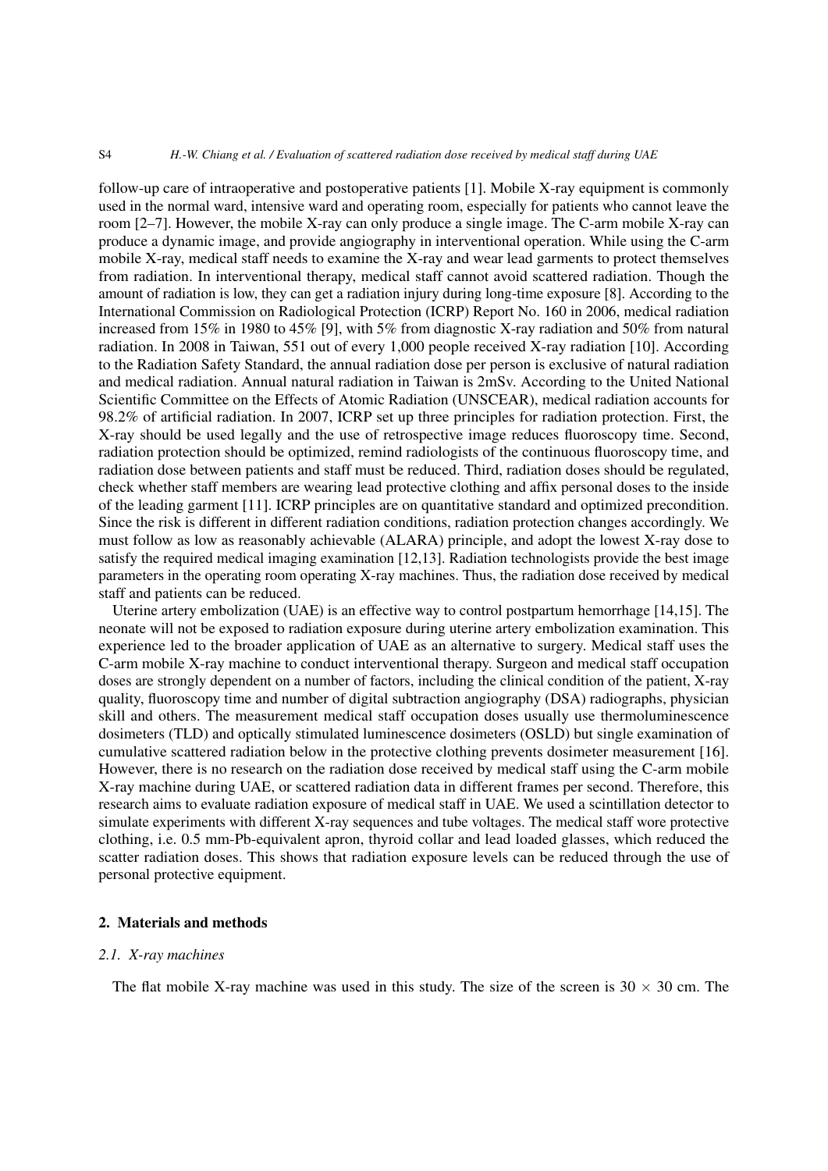#### S4 *H.-W. Chiang et al. / Evaluation of scattered radiation dose received by medical staff during UAE*

follow-up care of intraoperative and postoperative patients [\[1\]](#page-7-0). Mobile X-ray equipment is commonly used in the normal ward, intensive ward and operating room, especially for patients who cannot leave the room [\[2–](#page-7-1)[7\]](#page-7-2). However, the mobile X-ray can only produce a single image. The C-arm mobile X-ray can produce a dynamic image, and provide angiography in interventional operation. While using the C-arm mobile X-ray, medical staff needs to examine the X-ray and wear lead garments to protect themselves from radiation. In interventional therapy, medical staff cannot avoid scattered radiation. Though the amount of radiation is low, they can get a radiation injury during long-time exposure [\[8\]](#page-7-3). According to the International Commission on Radiological Protection (ICRP) Report No. 160 in 2006, medical radiation increased from 15% in 1980 to 45% [\[9\]](#page-7-4), with 5% from diagnostic X-ray radiation and 50% from natural radiation. In 2008 in Taiwan, 551 out of every 1,000 people received X-ray radiation [\[10\]](#page-7-5). According to the Radiation Safety Standard, the annual radiation dose per person is exclusive of natural radiation and medical radiation. Annual natural radiation in Taiwan is 2mSv. According to the United National Scientific Committee on the Effects of Atomic Radiation (UNSCEAR), medical radiation accounts for 98.2% of artificial radiation. In 2007, ICRP set up three principles for radiation protection. First, the X-ray should be used legally and the use of retrospective image reduces fluoroscopy time. Second, radiation protection should be optimized, remind radiologists of the continuous fluoroscopy time, and radiation dose between patients and staff must be reduced. Third, radiation doses should be regulated, check whether staff members are wearing lead protective clothing and affix personal doses to the inside of the leading garment [\[11\]](#page-7-6). ICRP principles are on quantitative standard and optimized precondition. Since the risk is different in different radiation conditions, radiation protection changes accordingly. We must follow as low as reasonably achievable (ALARA) principle, and adopt the lowest X-ray dose to satisfy the required medical imaging examination [\[12,](#page-7-7)[13\]](#page-7-8). Radiation technologists provide the best image parameters in the operating room operating X-ray machines. Thus, the radiation dose received by medical staff and patients can be reduced.

Uterine artery embolization (UAE) is an effective way to control postpartum hemorrhage [\[14,](#page-7-9)[15\]](#page-8-0). The neonate will not be exposed to radiation exposure during uterine artery embolization examination. This experience led to the broader application of UAE as an alternative to surgery. Medical staff uses the C-arm mobile X-ray machine to conduct interventional therapy. Surgeon and medical staff occupation doses are strongly dependent on a number of factors, including the clinical condition of the patient, X-ray quality, fluoroscopy time and number of digital subtraction angiography (DSA) radiographs, physician skill and others. The measurement medical staff occupation doses usually use thermoluminescence dosimeters (TLD) and optically stimulated luminescence dosimeters (OSLD) but single examination of cumulative scattered radiation below in the protective clothing prevents dosimeter measurement [\[16\]](#page-8-1). However, there is no research on the radiation dose received by medical staff using the C-arm mobile X-ray machine during UAE, or scattered radiation data in different frames per second. Therefore, this research aims to evaluate radiation exposure of medical staff in UAE. We used a scintillation detector to simulate experiments with different X-ray sequences and tube voltages. The medical staff wore protective clothing, i.e. 0.5 mm-Pb-equivalent apron, thyroid collar and lead loaded glasses, which reduced the scatter radiation doses. This shows that radiation exposure levels can be reduced through the use of personal protective equipment.

## 2. Materials and methods

#### *2.1. X-ray machines*

The flat mobile X-ray machine was used in this study. The size of the screen is  $30 \times 30$  cm. The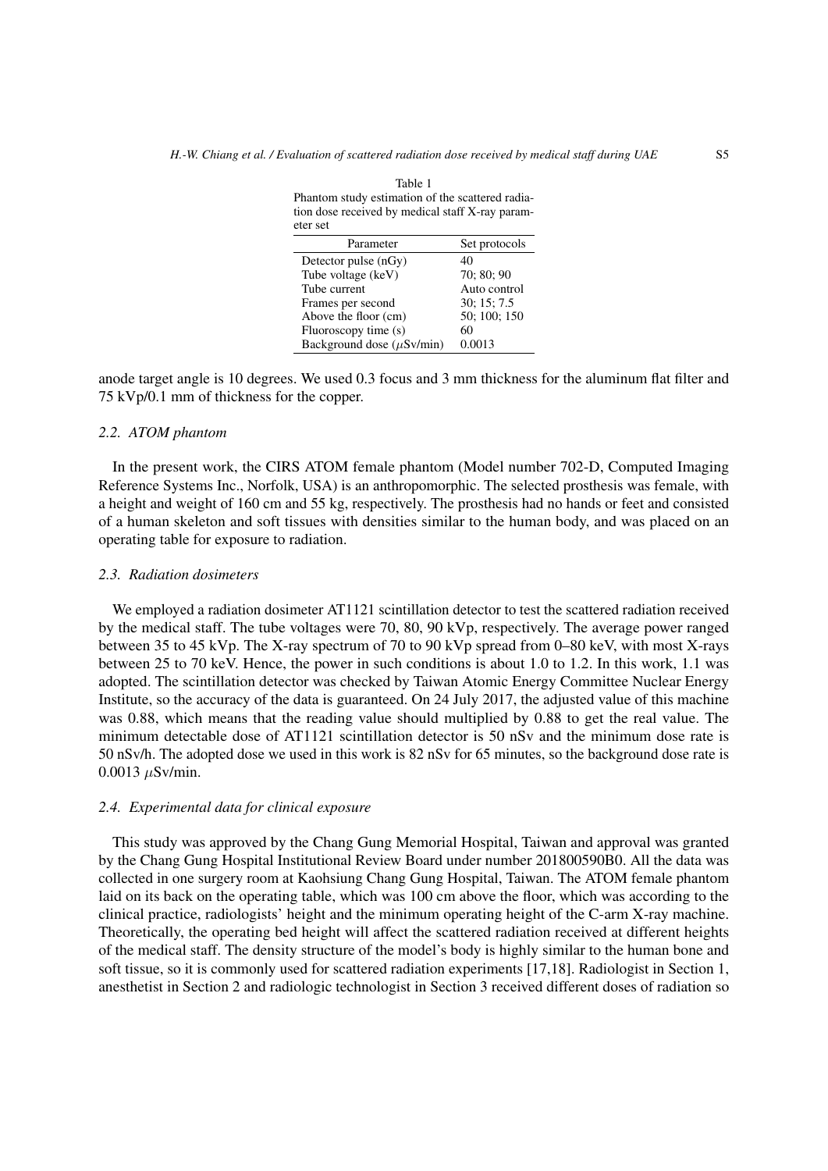<span id="page-2-0"></span>

| Phantom study estimation of the scattered radia-<br>tion dose received by medical staff X-ray param-<br>eter set |               |
|------------------------------------------------------------------------------------------------------------------|---------------|
| Parameter                                                                                                        | Set protocols |
| Detector pulse (nGy)                                                                                             | 40            |
| Tube voltage (keV)                                                                                               | 70: 80: 90    |
| Tube current                                                                                                     | Auto control  |
| Frames per second                                                                                                | 30; 15; 7.5   |
| Above the floor (cm)                                                                                             | 50; 100; 150  |
| Fluoroscopy time (s)                                                                                             | 60            |
| Background dose $(\mu Sv/min)$                                                                                   | 0.0013        |

anode target angle is 10 degrees. We used 0.3 focus and 3 mm thickness for the aluminum flat filter and 75 kVp/0.1 mm of thickness for the copper.

## *2.2. ATOM phantom*

In the present work, the CIRS ATOM female phantom (Model number 702-D, Computed Imaging Reference Systems Inc., Norfolk, USA) is an anthropomorphic. The selected prosthesis was female, with a height and weight of 160 cm and 55 kg, respectively. The prosthesis had no hands or feet and consisted of a human skeleton and soft tissues with densities similar to the human body, and was placed on an operating table for exposure to radiation.

#### *2.3. Radiation dosimeters*

We employed a radiation dosimeter AT1121 scintillation detector to test the scattered radiation received by the medical staff. The tube voltages were 70, 80, 90 kVp, respectively. The average power ranged between 35 to 45 kVp. The X-ray spectrum of 70 to 90 kVp spread from 0–80 keV, with most X-rays between 25 to 70 keV. Hence, the power in such conditions is about 1.0 to 1.2. In this work, 1.1 was adopted. The scintillation detector was checked by Taiwan Atomic Energy Committee Nuclear Energy Institute, so the accuracy of the data is guaranteed. On 24 July 2017, the adjusted value of this machine was 0.88, which means that the reading value should multiplied by 0.88 to get the real value. The minimum detectable dose of AT1121 scintillation detector is 50 nSv and the minimum dose rate is 50 nSv/h. The adopted dose we used in this work is 82 nSv for 65 minutes, so the background dose rate is  $0.0013 \mu$ Sv/min.

## *2.4. Experimental data for clinical exposure*

This study was approved by the Chang Gung Memorial Hospital, Taiwan and approval was granted by the Chang Gung Hospital Institutional Review Board under number 201800590B0. All the data was collected in one surgery room at Kaohsiung Chang Gung Hospital, Taiwan. The ATOM female phantom laid on its back on the operating table, which was 100 cm above the floor, which was according to the clinical practice, radiologists' height and the minimum operating height of the C-arm X-ray machine. Theoretically, the operating bed height will affect the scattered radiation received at different heights of the medical staff. The density structure of the model's body is highly similar to the human bone and soft tissue, so it is commonly used for scattered radiation experiments [\[17](#page-8-2)[,18\]](#page-8-3). Radiologist in Section 1, anesthetist in Section 2 and radiologic technologist in Section 3 received different doses of radiation so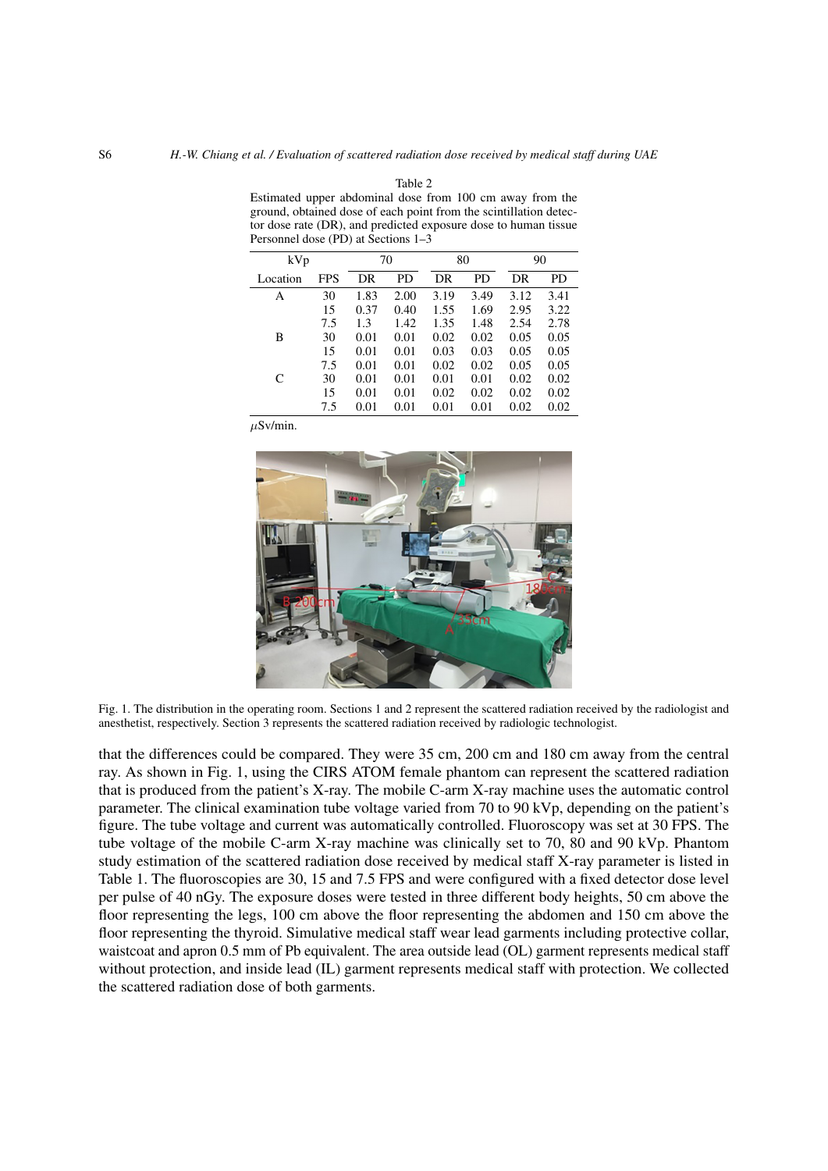| ersonnel dose (PD) at Sections 1–3 |     |      |      |      |      |      |      |  |  |  |  |  |  |
|------------------------------------|-----|------|------|------|------|------|------|--|--|--|--|--|--|
| kVp                                |     |      | 70   |      | 80   | 90   |      |  |  |  |  |  |  |
| Location                           | FPS | DR   | PD   | DR   | PD   | DR   | PD   |  |  |  |  |  |  |
| А                                  | 30  | 1.83 | 2.00 | 3.19 | 3.49 | 3.12 | 3.41 |  |  |  |  |  |  |
|                                    | 15  | 0.37 | 0.40 | 1.55 | 1.69 | 2.95 | 3.22 |  |  |  |  |  |  |
|                                    | 7.5 | 1.3  | 1.42 | 1.35 | 1.48 | 2.54 | 2.78 |  |  |  |  |  |  |
| В                                  | 30  | 0.01 | 0.01 | 0.02 | 0.02 | 0.05 | 0.05 |  |  |  |  |  |  |
|                                    | 15  | 0.01 | 0.01 | 0.03 | 0.03 | 0.05 | 0.05 |  |  |  |  |  |  |
|                                    | 7.5 | 0.01 | 0.01 | 0.02 | 0.02 | 0.05 | 0.05 |  |  |  |  |  |  |
| C                                  | 30  | 0.01 | 0.01 | 0.01 | 0.01 | 0.02 | 0.02 |  |  |  |  |  |  |
|                                    | 15  | 0.01 | 0.01 | 0.02 | 0.02 | 0.02 | 0.02 |  |  |  |  |  |  |
|                                    | 7.5 | 0.01 | 0.01 | 0.01 | 0.01 | 0.02 | 0.02 |  |  |  |  |  |  |

<span id="page-3-1"></span>Table 2 Estimated upper abdominal dose from 100 cm away from the ground, obtained dose of each point from the scintillation detector dose rate (DR), and predicted exposure dose to human tissue<br>Personnel dose (PD) at Sections  $1-3$ Personnel dose (PD) at Sections 1–3

 $\mu$ Sv/min.



Fig. 1. The distribution in the operating room. Sections 1 and 2 represent the scattered radiation received by the radiologist and anesthetist, respectively. Section 3 represents the scattered radiation received by radiologic technologist.

<span id="page-3-0"></span>that the differences could be compared. They were 35 cm, 200 cm and 180 cm away from the central ray. As shown in Fig. [1,](#page-3-0) using the CIRS ATOM female phantom can represent the scattered radiation that is produced from the patient's X-ray. The mobile C-arm X-ray machine uses the automatic control parameter. The clinical examination tube voltage varied from 70 to 90 kVp, depending on the patient's figure. The tube voltage and current was automatically controlled. Fluoroscopy was set at 30 FPS. The tube voltage of the mobile C-arm X-ray machine was clinically set to 70, 80 and 90 kVp. Phantom study estimation of the scattered radiation dose received by medical staff X-ray parameter is listed in Table [1.](#page-2-0) The fluoroscopies are 30, 15 and 7.5 FPS and were configured with a fixed detector dose level per pulse of 40 nGy. The exposure doses were tested in three different body heights, 50 cm above the floor representing the legs, 100 cm above the floor representing the abdomen and 150 cm above the floor representing the thyroid. Simulative medical staff wear lead garments including protective collar, waistcoat and apron 0.5 mm of Pb equivalent. The area outside lead (OL) garment represents medical staff without protection, and inside lead (IL) garment represents medical staff with protection. We collected the scattered radiation dose of both garments.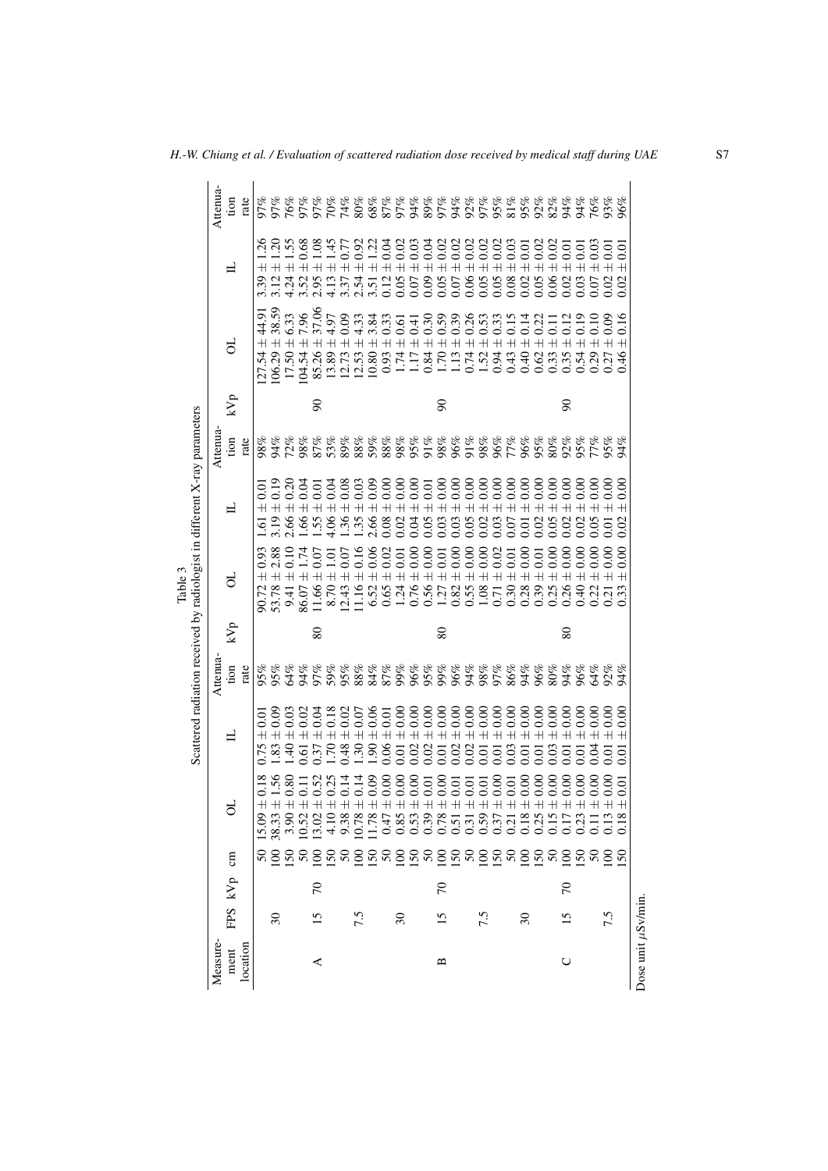|                                                                           | Attenua- | tion       | rate     |                                   |                                     |                          |                        |                        |                                             |                         |                         |                                   |                        |                        |                        |                                             |                        |                                                                                                                                                                                                                                                                                                             |                |                        |            |                        |                        |                                                                                                                                                                                                                                |                        |                        | 94%                    | 76%<br>93%<br>96%      |                        |                        |
|---------------------------------------------------------------------------|----------|------------|----------|-----------------------------------|-------------------------------------|--------------------------|------------------------|------------------------|---------------------------------------------|-------------------------|-------------------------|-----------------------------------|------------------------|------------------------|------------------------|---------------------------------------------|------------------------|-------------------------------------------------------------------------------------------------------------------------------------------------------------------------------------------------------------------------------------------------------------------------------------------------------------|----------------|------------------------|------------|------------------------|------------------------|--------------------------------------------------------------------------------------------------------------------------------------------------------------------------------------------------------------------------------|------------------------|------------------------|------------------------|------------------------|------------------------|------------------------|
|                                                                           |          |            |          |                                   |                                     |                          |                        |                        |                                             |                         |                         |                                   |                        |                        |                        |                                             |                        |                                                                                                                                                                                                                                                                                                             |                |                        |            |                        |                        |                                                                                                                                                                                                                                |                        |                        |                        |                        |                        |                        |
|                                                                           |          | ᆸ          |          | 1.26<br>$\overline{+}$            | $+$                                 | $\frac{20}{1.55}$<br>$+$ | 0.68<br>$\overline{+}$ | 1.08<br>$\overline{+}$ | 1.45<br>$\overline{+}$                      | 0.77<br>$\overline{+}$  | $\overline{+}$          | $0.230$<br>0.13<br>$\overline{+}$ | $\overline{+}$         | 0.02<br>$\overline{+}$ | $\pm$ 0.03             | $\pm 0.04$                                  | $\pm$ 0.02             | $\begin{array}{l} \pm\ 0.02 \\ \pm\ 0.02 \end{array}$<br>$\ddot{+}$                                                                                                                                                                                                                                         |                | $\pm$ 0.02             | $\pm$ 0.02 | 0.03<br>$\frac{1}{x}$  | $\pm$ 0.01             | $\pm 0.02$                                                                                                                                                                                                                     | $0.06 \pm 0.02$        | $\pm 0.01$             | $\pm 0.01$             | $\pm 0.03$             | $\pm 0.01$             | $\overline{0}$         |
|                                                                           |          |            |          | 3.39                              |                                     |                          | 3.52                   | 2.95                   | 4.13                                        | 3.37                    | 2.54                    | 3.51                              | 0.12                   | 0.05                   | 0.07                   | 0.09                                        | 0.05                   | 0.07                                                                                                                                                                                                                                                                                                        | 0.06           | 0.05                   | 0.05       |                        | 0.02                   | 0.05                                                                                                                                                                                                                           |                        | 0.02                   | 0.03                   | 0.07                   | 0.02                   | 0.02                   |
|                                                                           |          |            |          | 44.91                             | 38.59                               | $+ 6.33$<br>$+ 7.96$     |                        | ± 37.06                | 4.97                                        | 0.09                    | 4.33                    | 3.84                              | 0.33                   | $\pm 0.61$             | $\pm 0.41$             | $\pm 0.30$                                  | $\pm 0.59$             | $\pm 0.39$                                                                                                                                                                                                                                                                                                  | $\pm 0.26$     | $\pm$ 0.53             | $\pm$ 0.33 | 0.15                   | $\pm 0.14$             | $\pm$ 0.22                                                                                                                                                                                                                     | $\pm 0.11$             | 0.12                   | 0.19                   | $\pm 0.10$             | 0.09                   | 0.16                   |
|                                                                           |          | ಕ          |          | $\overline{+}$<br>$\overline{54}$ | $\overline{+}$<br>106.29            | 17.50                    | 104.54                 | 85.26                  | $\overline{+}$<br>13.89                     | $\overline{+}$<br>12.73 | $\overline{+}$<br>12.53 | $\overline{+}$<br>10.80           | $\overline{+}$<br>0.93 | 1.74                   | 117                    | 0.84                                        | 1.70                   | 1.13                                                                                                                                                                                                                                                                                                        | 0.74           | 1.52                   | 0.94       | $\overline{+}$<br>0.43 | 0.40                   | 0.62                                                                                                                                                                                                                           | 0.33                   | $\overline{+}$<br>0.35 | $+$<br>0.54            | 0.29                   | $\overline{+}$<br>0.27 | $\overline{+}$<br>0.46 |
|                                                                           |          | kVp        |          | 127.                              |                                     |                          |                        | $\infty$               |                                             |                         |                         |                                   |                        |                        |                        |                                             | $\infty$               |                                                                                                                                                                                                                                                                                                             |                |                        |            |                        |                        |                                                                                                                                                                                                                                |                        | $\infty$               |                        |                        |                        |                        |
|                                                                           |          |            |          |                                   |                                     |                          |                        |                        |                                             |                         |                         |                                   |                        |                        |                        |                                             |                        |                                                                                                                                                                                                                                                                                                             |                |                        |            |                        |                        |                                                                                                                                                                                                                                |                        |                        |                        |                        |                        |                        |
|                                                                           | Attenua  | tion       | rate     | 38%                               | $\frac{3}{6}$                       | 72%                      | 98%                    | 87%                    | 53%                                         | 89%                     | 88%                     | $\frac{268}{38\%}$                |                        | 98%                    | 88888<br>88860<br>9988 |                                             |                        |                                                                                                                                                                                                                                                                                                             |                |                        |            |                        |                        | 88<br>88888888<br>8877888                                                                                                                                                                                                      |                        |                        |                        | 77%                    | %<br>%26               |                        |
|                                                                           |          |            |          | 0.01                              | 0.19                                | 0.20                     | 0.04                   | 0.01                   | 0.04                                        | 0.08                    | 0.03                    | 0.09                              |                        | 0.00                   | 0.00                   | $\begin{array}{c} 0.01 \\ 0.00 \end{array}$ |                        | $\begin{array}{c} 0.00000 \\ 0.00000 \\ + 0.0000 \\ + 0.0000 \\ + 0.0000 \\ + 0.0000 \\ + 0.0000 \\ + 0.0000 \\ + 0.0000 \\ + 0.0000 \\ + 0.0000 \\ + 0.0000 \\ + 0.0000 \\ + 0.0000 \\ + 0.0000 \\ + 0.0000 \\ + 0.0000 \\ + 0.0000 \\ + 0.0000 \\ + 0.0000 \\ + 0.0000 \\ + 0.0000 \\ + 0.0000 \\ + 0.00$ |                |                        |            | 0.00                   | 0.00                   | 0.00                                                                                                                                                                                                                           | 0.00                   | 0.00                   | 0.00                   | 0.00                   | 0.00                   | $_{0.00}$              |
|                                                                           |          | 日          |          | $\overline{+}$<br>$\overline{5}$  | $\,+\,$ $\,+\,$<br>$3.19$<br>$2.66$ |                          | $\overline{+}$<br>1.66 | $\overline{+}$<br>1.55 | $\overline{+}$<br>4.06                      | $\!+\!$<br>1.36         | $+$<br>1.35             | $+$<br>2.66<br>0.08               | $\bar{+}$              | $\overline{+}$<br>0.02 | $+$<br>0.04            | $\frac{1}{x}$<br>0.05                       | $\overline{+}$<br>0.03 | 0.03                                                                                                                                                                                                                                                                                                        | 0.05           | 0.02                   | 0.03       | $\overline{+}$<br>0.07 | $\overline{+}$<br>0.01 | $\overline{+}$<br>0.02                                                                                                                                                                                                         | $\overline{+}$<br>0.05 | $\overline{+}$<br>0.02 | $\overline{+}$<br>0.02 | $\overline{+}$<br>0.05 | $\overline{+}$         | 0.02                   |
|                                                                           |          |            |          | 0.93                              | 2.88                                |                          |                        | 0.07                   |                                             |                         | 0.16                    | $0.06$<br>$0.02$                  |                        |                        | 0.00                   |                                             |                        | 0.00                                                                                                                                                                                                                                                                                                        | 0.00           |                        | 0.02       |                        |                        |                                                                                                                                                                                                                                | 0.00                   | 0.00                   | 0.00                   | 0.00                   |                        |                        |
| Table 3                                                                   |          | ಕ          |          | $^+$                              | $+$                                 | $\overline{+}$           | $\overline{+}$         | $\overline{+}$         | $\overline{1.01}$<br>$\overline{+}$         | 0.07<br>$\overline{+}$  | $1.16 \pm$              | $\overline{+}$                    | $\overline{+}$         | 0.01<br>$\overline{+}$ | $0.76 \pm$             | 0.00<br>$\overline{+}$                      | 0.01<br>$\overline{+}$ | $\overline{+}$                                                                                                                                                                                                                                                                                              | $0.55 \pm 0$   | 0.00<br>$\overline{+}$ | $+$        | 0.01<br>$\overline{+}$ | $\pm~0.00$             | 0.01<br>$\overline{+}$                                                                                                                                                                                                         | $\overline{+}$         | $\overline{+}$         | $\overline{+}$         | $\overline{+}$         |                        |                        |
|                                                                           |          |            |          |                                   | 53.78                               | 9.41                     | 86.07                  | 11.66                  | 8.70                                        | 12.43                   |                         | 6.52                              | 0.65                   | 1.24                   |                        | 0.56                                        | 1.27                   | 0.82                                                                                                                                                                                                                                                                                                        |                | 1.08                   | 0.71       | 0.30                   | 0.28                   | 0.39                                                                                                                                                                                                                           | 0.25                   | 0.26                   | 0.40                   |                        | 0.21                   |                        |
|                                                                           |          | kVp        |          |                                   |                                     |                          |                        | 80                     |                                             |                         |                         |                                   |                        |                        |                        |                                             | 80                     |                                                                                                                                                                                                                                                                                                             |                |                        |            |                        |                        |                                                                                                                                                                                                                                |                        | 80                     |                        |                        |                        |                        |
| Scattered radiation received by radiologist in different X-ray parameters | Attenua  | tion       | rate     |                                   |                                     |                          |                        |                        |                                             |                         |                         |                                   |                        |                        |                        |                                             |                        |                                                                                                                                                                                                                                                                                                             |                |                        |            |                        |                        |                                                                                                                                                                                                                                |                        |                        |                        |                        |                        |                        |
|                                                                           |          |            |          |                                   | 0.09                                | 0.03                     | 0.02                   | 0.04                   | 0.18                                        | 0.02                    | 0.07                    | 0.06                              | 0.01                   | 0.00                   | 0.00                   | 0.00                                        | 0.00                   | 0.00                                                                                                                                                                                                                                                                                                        | 0.00           | 0.00                   |            | 0.00                   | 0.00                   |                                                                                                                                                                                                                                | 0.00                   | 0.00                   | 0.00                   | 0.00                   | 0.00                   | 0.00                   |
|                                                                           |          | ᆸ          |          | $\overline{+}$                    | $\overline{+}$                      | $\overline{+}$           | $\overline{+}$         | $\overline{+}$         | $\overline{+}$                              | $0.48 \pm$              | $1.30 \pm$              | $1.90 \pm$                        | $0.06 \pm$             | $\overline{+}$         | $\overline{+}$         | $\overline{+}$                              | $\overline{+}$         | $\overline{+}$                                                                                                                                                                                                                                                                                              | $\overline{+}$ | $\overline{+}$         | $\pm 0.00$ | $\overline{+}$         | $\overline{+}$         | $\pm 0.00$                                                                                                                                                                                                                     | $\overline{+}$         | $\overline{+}$         | $\overline{+}$         | $\overline{+}$         | $\overline{+}$         |                        |
|                                                                           |          |            |          | 0.75                              | 1.83                                | 1.40                     | 0.61                   | 0.37                   | 1.70                                        |                         |                         |                                   |                        | 0.01                   | 0.02                   | 0.02                                        | 0.01                   | 0.02                                                                                                                                                                                                                                                                                                        | 0.02           | 0.01                   | 0.01       | 0.03                   | 0.01                   | 0.01                                                                                                                                                                                                                           | 0.03                   | 0.01                   | $0.01$                 | 0.04                   | 0.01                   | 0.01                   |
|                                                                           |          | ਰ          |          | $^+$                              | 1.56<br>$^+$                        | 0.80<br>$+$ $+$          |                        | 0.52<br>$^+$           | 0.25<br>$^+$                                | 0.14<br>$^+$            | 0.14<br>$+ +$           | 0.09                              | 0.00                   | 0.00                   | 0.00                   | 0.01                                        | 0.00                   | 0.01                                                                                                                                                                                                                                                                                                        | 0.01           | 0.01                   | 0.00       | 0.01                   | 0.00                   | 0.00                                                                                                                                                                                                                           | 0.00                   | 0.00                   | 0.00                   | 0.00                   | 0.00                   | 0.01                   |
|                                                                           |          |            |          | 15.09                             | 38.33                               |                          | 10.52<br>13.02         |                        | $\begin{array}{c} 4.10 \\ 9.38 \end{array}$ |                         | 10.78                   |                                   |                        |                        |                        |                                             |                        |                                                                                                                                                                                                                                                                                                             |                |                        |            |                        |                        | $1.74$ $3.83$ $8.8$ $5.53$ $8.73$ $8.73$ $8.73$ $8.73$ $8.73$ $8.73$ $8.73$ $8.73$ $8.73$ $8.73$ $8.73$ $8.73$ $8.73$ $8.73$ $8.73$ $8.73$ $8.73$ $8.73$ $8.73$ $8.73$ $8.73$ $8.73$ $8.73$ $8.73$ $8.73$ $8.73$ $8.73$ $8.73$ |                        |                        |                        |                        |                        |                        |
|                                                                           |          | $\epsilon$ |          |                                   |                                     |                          |                        |                        |                                             |                         |                         |                                   |                        |                        |                        |                                             |                        |                                                                                                                                                                                                                                                                                                             |                |                        |            |                        |                        |                                                                                                                                                                                                                                |                        |                        |                        |                        |                        |                        |
|                                                                           |          | kVp        |          |                                   |                                     |                          |                        | $\mathcal{L}$          |                                             |                         |                         |                                   |                        |                        |                        |                                             | $\mathcal{L}$          |                                                                                                                                                                                                                                                                                                             |                |                        |            |                        |                        |                                                                                                                                                                                                                                |                        | $\mathcal{L}$          |                        |                        |                        |                        |
|                                                                           |          | FPS        |          |                                   | $\overline{\mathcal{E}}$            |                          |                        | $\overline{15}$        |                                             |                         | 7.5                     |                                   |                        | $30\,$                 |                        |                                             | $\overline{15}$        |                                                                                                                                                                                                                                                                                                             |                | 7.5                    |            |                        | $\mathfrak{S}0$        |                                                                                                                                                                                                                                |                        | $\overline{15}$        |                        |                        | 7.5                    |                        |
|                                                                           | Measure  | ment       | location |                                   |                                     |                          |                        | ⋖                      |                                             |                         |                         |                                   |                        |                        |                        |                                             | m                      |                                                                                                                                                                                                                                                                                                             |                |                        |            |                        |                        |                                                                                                                                                                                                                                |                        | ပ                      |                        |                        |                        |                        |

<span id="page-4-0"></span>*H.-W. Chiang et al. / Evaluation of scattered radiation dose received by medical staff during UAE* S7

Dose unit

 $\mu$ Sv/min.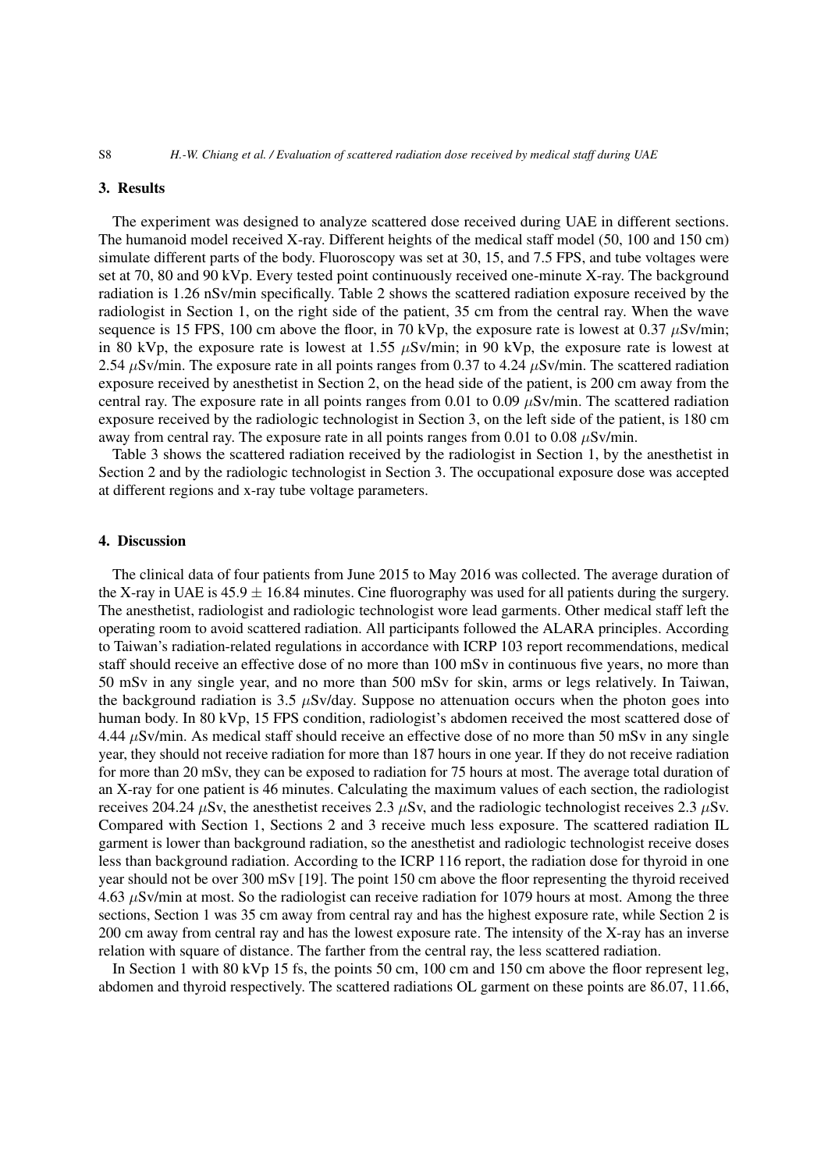#### 3. Results

The experiment was designed to analyze scattered dose received during UAE in different sections. The humanoid model received X-ray. Different heights of the medical staff model (50, 100 and 150 cm) simulate different parts of the body. Fluoroscopy was set at 30, 15, and 7.5 FPS, and tube voltages were set at 70, 80 and 90 kVp. Every tested point continuously received one-minute X-ray. The background radiation is 1.26 nSv/min specifically. Table [2](#page-3-1) shows the scattered radiation exposure received by the radiologist in Section 1, on the right side of the patient, 35 cm from the central ray. When the wave sequence is 15 FPS, 100 cm above the floor, in 70 kVp, the exposure rate is lowest at 0.37  $\mu$ Sv/min; in 80 kVp, the exposure rate is lowest at 1.55  $\mu$ Sv/min; in 90 kVp, the exposure rate is lowest at 2.54  $\mu$ Sv/min. The exposure rate in all points ranges from 0.37 to 4.24  $\mu$ Sv/min. The scattered radiation exposure received by anesthetist in Section 2, on the head side of the patient, is 200 cm away from the central ray. The exposure rate in all points ranges from 0.01 to 0.09  $\mu$ Sv/min. The scattered radiation exposure received by the radiologic technologist in Section 3, on the left side of the patient, is 180 cm away from central ray. The exposure rate in all points ranges from 0.01 to 0.08  $\mu$ Sv/min.

Table [3](#page-4-0) shows the scattered radiation received by the radiologist in Section 1, by the anesthetist in Section 2 and by the radiologic technologist in Section 3. The occupational exposure dose was accepted at different regions and x-ray tube voltage parameters.

## 4. Discussion

The clinical data of four patients from June 2015 to May 2016 was collected. The average duration of the X-ray in UAE is  $45.9 \pm 16.84$  minutes. Cine fluorography was used for all patients during the surgery. The anesthetist, radiologist and radiologic technologist wore lead garments. Other medical staff left the operating room to avoid scattered radiation. All participants followed the ALARA principles. According to Taiwan's radiation-related regulations in accordance with ICRP 103 report recommendations, medical staff should receive an effective dose of no more than 100 mSv in continuous five years, no more than 50 mSv in any single year, and no more than 500 mSv for skin, arms or legs relatively. In Taiwan, the background radiation is 3.5  $\mu$ Sv/day. Suppose no attenuation occurs when the photon goes into human body. In 80 kVp, 15 FPS condition, radiologist's abdomen received the most scattered dose of 4.44  $\mu$ Sv/min. As medical staff should receive an effective dose of no more than 50 mSv in any single year, they should not receive radiation for more than 187 hours in one year. If they do not receive radiation for more than 20 mSv, they can be exposed to radiation for 75 hours at most. The average total duration of an X-ray for one patient is 46 minutes. Calculating the maximum values of each section, the radiologist receives 204.24  $\mu$ Sv, the anesthetist receives 2.3  $\mu$ Sv, and the radiologic technologist receives 2.3  $\mu$ Sv. Compared with Section 1, Sections 2 and 3 receive much less exposure. The scattered radiation IL garment is lower than background radiation, so the anesthetist and radiologic technologist receive doses less than background radiation. According to the ICRP 116 report, the radiation dose for thyroid in one year should not be over 300 mSv [\[19\]](#page-8-4). The point 150 cm above the floor representing the thyroid received 4.63 µSv/min at most. So the radiologist can receive radiation for 1079 hours at most. Among the three sections, Section 1 was 35 cm away from central ray and has the highest exposure rate, while Section 2 is 200 cm away from central ray and has the lowest exposure rate. The intensity of the X-ray has an inverse relation with square of distance. The farther from the central ray, the less scattered radiation.

In Section 1 with 80 kVp 15 fs, the points 50 cm, 100 cm and 150 cm above the floor represent leg, abdomen and thyroid respectively. The scattered radiations OL garment on these points are 86.07, 11.66,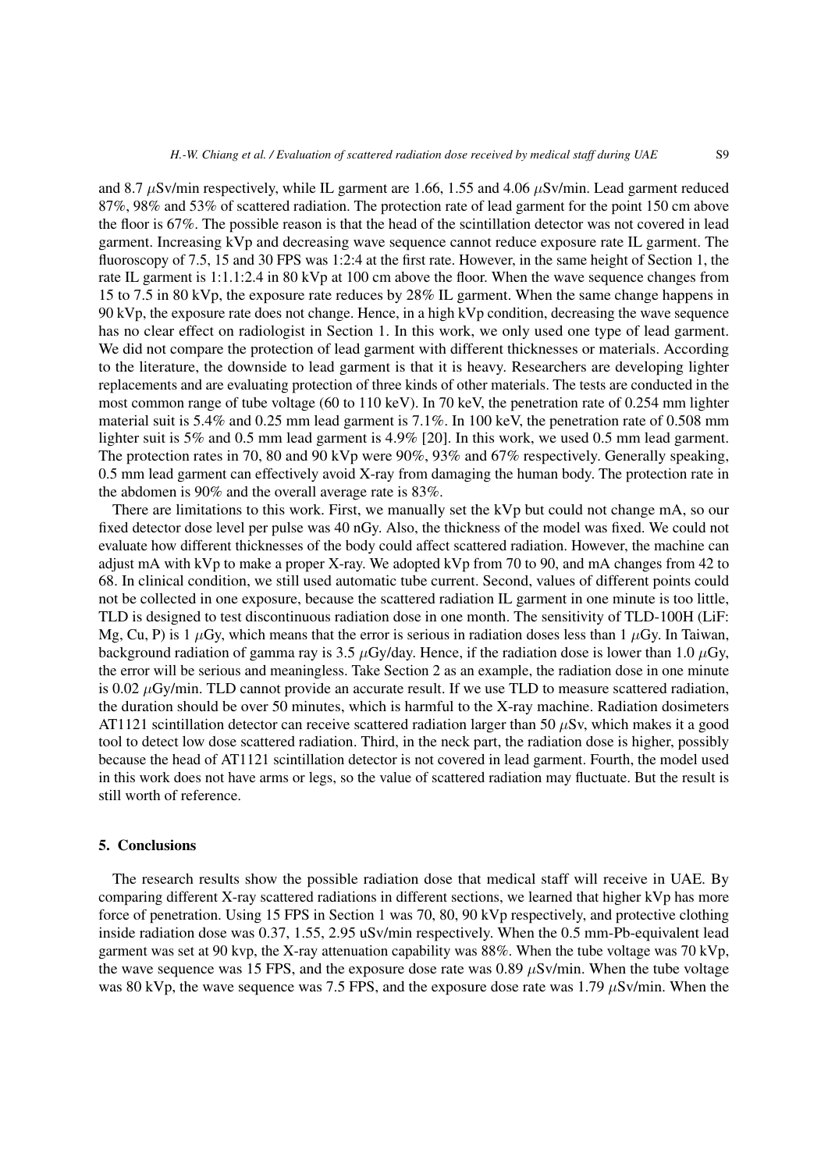and 8.7  $\mu$ Sv/min respectively, while IL garment are 1.66, 1.55 and 4.06  $\mu$ Sv/min. Lead garment reduced 87%, 98% and 53% of scattered radiation. The protection rate of lead garment for the point 150 cm above the floor is 67%. The possible reason is that the head of the scintillation detector was not covered in lead garment. Increasing kVp and decreasing wave sequence cannot reduce exposure rate IL garment. The fluoroscopy of 7.5, 15 and 30 FPS was 1:2:4 at the first rate. However, in the same height of Section 1, the rate IL garment is 1:1.1:2.4 in 80 kVp at 100 cm above the floor. When the wave sequence changes from 15 to 7.5 in 80 kVp, the exposure rate reduces by 28% IL garment. When the same change happens in 90 kVp, the exposure rate does not change. Hence, in a high kVp condition, decreasing the wave sequence has no clear effect on radiologist in Section 1. In this work, we only used one type of lead garment. We did not compare the protection of lead garment with different thicknesses or materials. According to the literature, the downside to lead garment is that it is heavy. Researchers are developing lighter replacements and are evaluating protection of three kinds of other materials. The tests are conducted in the most common range of tube voltage (60 to 110 keV). In 70 keV, the penetration rate of 0.254 mm lighter material suit is 5.4% and 0.25 mm lead garment is 7.1%. In 100 keV, the penetration rate of 0.508 mm lighter suit is 5% and 0.5 mm lead garment is 4.9% [\[20\]](#page-8-5). In this work, we used 0.5 mm lead garment. The protection rates in 70, 80 and 90 kVp were 90%, 93% and 67% respectively. Generally speaking, 0.5 mm lead garment can effectively avoid X-ray from damaging the human body. The protection rate in the abdomen is 90% and the overall average rate is 83%.

There are limitations to this work. First, we manually set the kVp but could not change mA, so our fixed detector dose level per pulse was 40 nGy. Also, the thickness of the model was fixed. We could not evaluate how different thicknesses of the body could affect scattered radiation. However, the machine can adjust mA with kVp to make a proper X-ray. We adopted kVp from 70 to 90, and mA changes from 42 to 68. In clinical condition, we still used automatic tube current. Second, values of different points could not be collected in one exposure, because the scattered radiation IL garment in one minute is too little, TLD is designed to test discontinuous radiation dose in one month. The sensitivity of TLD-100H (LiF: Mg, Cu, P) is 1  $\mu$ Gy, which means that the error is serious in radiation doses less than 1  $\mu$ Gy. In Taiwan, background radiation of gamma ray is 3.5  $\mu$ Gy/day. Hence, if the radiation dose is lower than 1.0  $\mu$ Gy, the error will be serious and meaningless. Take Section 2 as an example, the radiation dose in one minute is 0.02  $\mu$ Gy/min. TLD cannot provide an accurate result. If we use TLD to measure scattered radiation, the duration should be over 50 minutes, which is harmful to the X-ray machine. Radiation dosimeters AT1121 scintillation detector can receive scattered radiation larger than 50  $\mu$ Sv, which makes it a good tool to detect low dose scattered radiation. Third, in the neck part, the radiation dose is higher, possibly because the head of AT1121 scintillation detector is not covered in lead garment. Fourth, the model used in this work does not have arms or legs, so the value of scattered radiation may fluctuate. But the result is still worth of reference.

## 5. Conclusions

The research results show the possible radiation dose that medical staff will receive in UAE. By comparing different X-ray scattered radiations in different sections, we learned that higher kVp has more force of penetration. Using 15 FPS in Section 1 was 70, 80, 90 kVp respectively, and protective clothing inside radiation dose was 0.37, 1.55, 2.95 uSv/min respectively. When the 0.5 mm-Pb-equivalent lead garment was set at 90 kvp, the X-ray attenuation capability was 88%. When the tube voltage was 70 kVp, the wave sequence was 15 FPS, and the exposure dose rate was 0.89  $\mu$ Sv/min. When the tube voltage was 80 kVp, the wave sequence was 7.5 FPS, and the exposure dose rate was 1.79  $\mu$ Sv/min. When the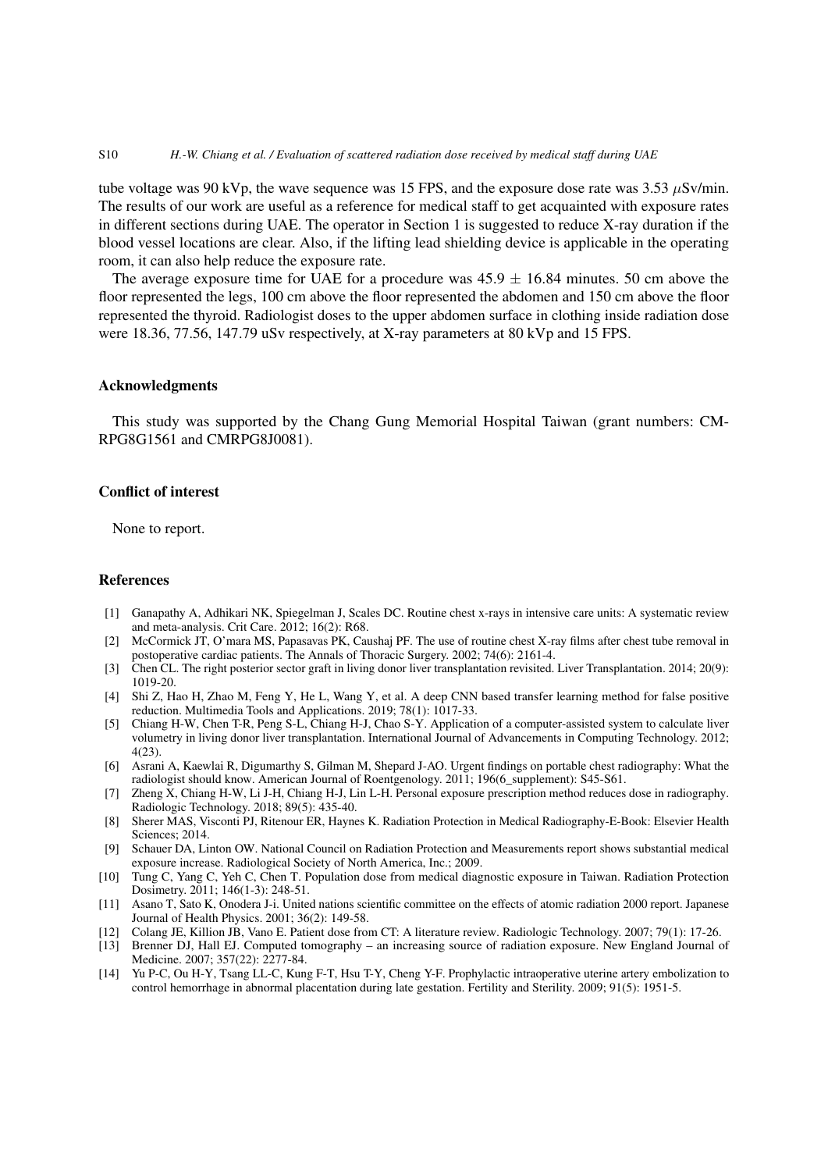#### S10 *H.-W. Chiang et al. / Evaluation of scattered radiation dose received by medical staff during UAE*

tube voltage was 90 kVp, the wave sequence was 15 FPS, and the exposure dose rate was 3.53  $\mu$ Sv/min. The results of our work are useful as a reference for medical staff to get acquainted with exposure rates in different sections during UAE. The operator in Section 1 is suggested to reduce X-ray duration if the blood vessel locations are clear. Also, if the lifting lead shielding device is applicable in the operating room, it can also help reduce the exposure rate.

The average exposure time for UAE for a procedure was  $45.9 \pm 16.84$  minutes. 50 cm above the floor represented the legs, 100 cm above the floor represented the abdomen and 150 cm above the floor represented the thyroid. Radiologist doses to the upper abdomen surface in clothing inside radiation dose were 18.36, 77.56, 147.79 uSv respectively, at X-ray parameters at 80 kVp and 15 FPS.

#### Acknowledgments

This study was supported by the Chang Gung Memorial Hospital Taiwan (grant numbers: CM-RPG8G1561 and CMRPG8J0081).

## Conflict of interest

None to report.

#### **References**

- <span id="page-7-0"></span>[1] Ganapathy A, Adhikari NK, Spiegelman J, Scales DC. Routine chest x-rays in intensive care units: A systematic review and meta-analysis. Crit Care. 2012; 16(2): R68.
- <span id="page-7-1"></span>[2] McCormick JT, O'mara MS, Papasavas PK, Caushaj PF. The use of routine chest X-ray films after chest tube removal in postoperative cardiac patients. The Annals of Thoracic Surgery. 2002; 74(6): 2161-4.
- [3] Chen CL. The right posterior sector graft in living donor liver transplantation revisited. Liver Transplantation. 2014; 20(9): 1019-20.
- [4] Shi Z, Hao H, Zhao M, Feng Y, He L, Wang Y, et al. A deep CNN based transfer learning method for false positive reduction. Multimedia Tools and Applications. 2019; 78(1): 1017-33.
- [5] Chiang H-W, Chen T-R, Peng S-L, Chiang H-J, Chao S-Y. Application of a computer-assisted system to calculate liver volumetry in living donor liver transplantation. International Journal of Advancements in Computing Technology. 2012; 4(23).
- [6] Asrani A, Kaewlai R, Digumarthy S, Gilman M, Shepard J-AO. Urgent findings on portable chest radiography: What the radiologist should know. American Journal of Roentgenology. 2011; 196(6\_supplement): S45-S61.
- <span id="page-7-2"></span>[7] Zheng  $\bar{X}$ , Chiang H-W, Li J-H, Chiang H-J, Lin L-H. Personal exposure prescription method reduces dose in radiography. Radiologic Technology. 2018; 89(5): 435-40.
- <span id="page-7-3"></span>[8] Sherer MAS, Visconti PJ, Ritenour ER, Haynes K. Radiation Protection in Medical Radiography-E-Book: Elsevier Health Sciences; 2014.
- <span id="page-7-4"></span>[9] Schauer DA, Linton OW. National Council on Radiation Protection and Measurements report shows substantial medical exposure increase. Radiological Society of North America, Inc.; 2009.
- <span id="page-7-5"></span>[10] Tung C, Yang C, Yeh C, Chen T. Population dose from medical diagnostic exposure in Taiwan. Radiation Protection Dosimetry. 2011; 146(1-3): 248-51.
- <span id="page-7-6"></span>[11] Asano T, Sato K, Onodera J-i. United nations scientific committee on the effects of atomic radiation 2000 report. Japanese Journal of Health Physics. 2001; 36(2): 149-58.
- <span id="page-7-7"></span>[12] Colang JE, Killion JB, Vano E. Patient dose from CT: A literature review. Radiologic Technology. 2007; 79(1): 17-26.
- <span id="page-7-8"></span>[13] Brenner DJ, Hall EJ. Computed tomography – an increasing source of radiation exposure. New England Journal of Medicine. 2007; 357(22): 2277-84.
- <span id="page-7-9"></span>[14] Yu P-C, Ou H-Y, Tsang LL-C, Kung F-T, Hsu T-Y, Cheng Y-F. Prophylactic intraoperative uterine artery embolization to control hemorrhage in abnormal placentation during late gestation. Fertility and Sterility. 2009; 91(5): 1951-5.